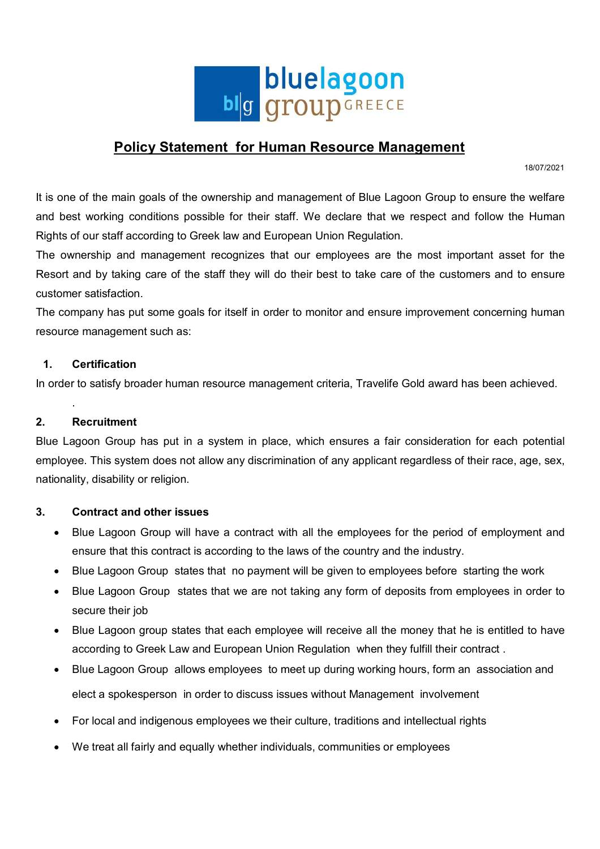

# **Policy Statement for Human Resource Management**

18/07/2021

It is one of the main goals of the ownership and management of Blue Lagoon Group to ensure the welfare and best working conditions possible for their staff. We declare that we respect and follow the Human Rights of our staff according to Greek law and European Union Regulation.

The ownership and management recognizes that our employees are the most important asset for the Resort and by taking care of the staff they will do their best to take care of the customers and to ensure customer satisfaction.

The company has put some goals for itself in order to monitor and ensure improvement concerning human resource management such as:

# **1. Certification**

In order to satisfy broader human resource management criteria, Travelife Gold award has been achieved.

# **2. Recruitment**

.

Blue Lagoon Group has put in a system in place, which ensures a fair consideration for each potential employee. This system does not allow any discrimination of any applicant regardless of their race, age, sex, nationality, disability or religion.

### **3. Contract and other issues**

- Blue Lagoon Group will have a contract with all the employees for the period of employment and ensure that this contract is according to the laws of the country and the industry.
- Blue Lagoon Group states that no payment will be given to employees before starting the work
- Blue Lagoon Group states that we are not taking any form of deposits from employees in order to secure their job
- Blue Lagoon group states that each employee will receive all the money that he is entitled to have according to Greek Law and European Union Regulation when they fulfill their contract .
- Blue Lagoon Group allows employees to meet up during working hours, form an association and elect a spokesperson in order to discuss issues without Management involvement
- For local and indigenous employees we their culture, traditions and intellectual rights
- We treat all fairly and equally whether individuals, communities or employees